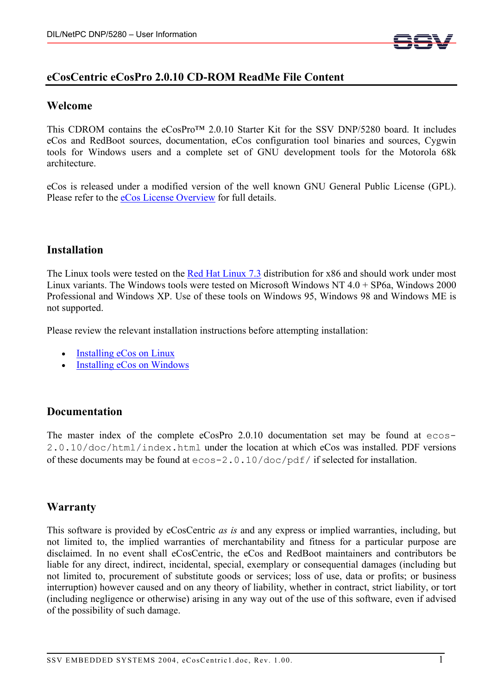

# **eCosCentric eCosPro 2.0.10 CD-ROM ReadMe File Content**

### **Welcome**

This CDROM contains the eCosPro™ 2.0.10 Starter Kit for the SSV DNP/5280 board. It includes eCos and RedBoot sources, documentation, eCos configuration tool binaries and sources, Cygwin tools for Windows users and a complete set of GNU development tools for the Motorola 68k architecture.

eCos is released under a modified version of the well known GNU General Public License (GPL). Please refer to the eCos License Overview for full details.

### **Installation**

The Linux tools were tested on the Red Hat Linux 7.3 distribution for x86 and should work under most Linux variants. The Windows tools were tested on Microsoft Windows NT 4.0 + SP6a, Windows 2000 Professional and Windows XP. Use of these tools on Windows 95, Windows 98 and Windows ME is not supported.

Please review the relevant installation instructions before attempting installation:

- Installing eCos on Linux
- Installing eCos on Windows

# **Documentation**

The master index of the complete eCosPro 2.0.10 documentation set may be found at ecos-2.0.10/doc/html/index.html under the location at which eCos was installed. PDF versions of these documents may be found at ecos-2.0.10/doc/pdf/ if selected for installation.

# **Warranty**

This software is provided by eCosCentric *as is* and any express or implied warranties, including, but not limited to, the implied warranties of merchantability and fitness for a particular purpose are disclaimed. In no event shall eCosCentric, the eCos and RedBoot maintainers and contributors be liable for any direct, indirect, incidental, special, exemplary or consequential damages (including but not limited to, procurement of substitute goods or services; loss of use, data or profits; or business interruption) however caused and on any theory of liability, whether in contract, strict liability, or tort (including negligence or otherwise) arising in any way out of the use of this software, even if advised of the possibility of such damage.